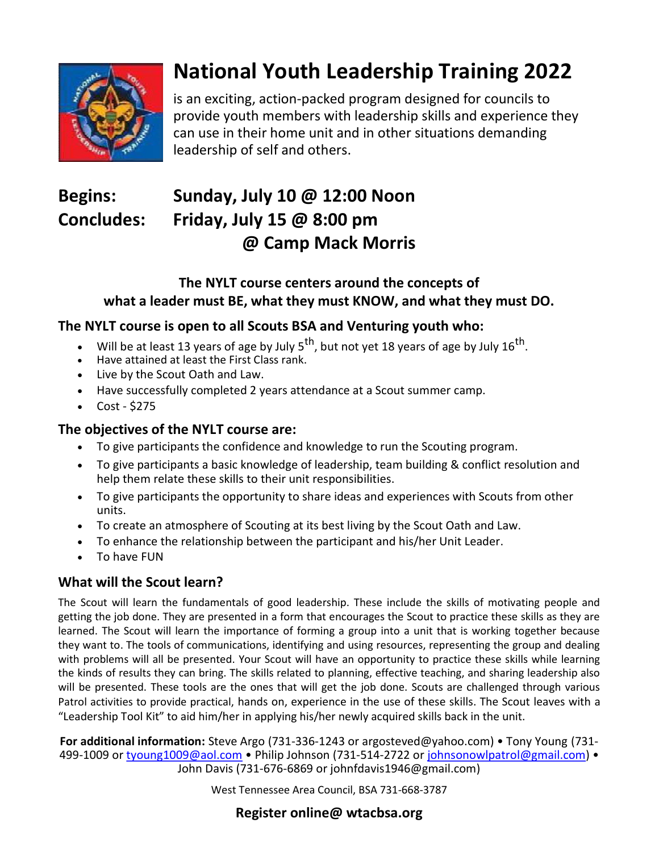

# National Youth Leadership Training 2022

is an exciting, action-packed program designed for councils to provide youth members with leadership skills and experience they can use in their home unit and in other situations demanding leadership of self and others.

## Begins: Sunday, July 10 @ 12:00 Noon Concludes: Friday, July 15 @ 8:00 pm @ Camp Mack Morris

#### The NYLT course centers around the concepts of what a leader must BE, what they must KNOW, and what they must DO.

#### The NYLT course is open to all Scouts BSA and Venturing youth who:

- Will be at least 13 years of age by July 5<sup>th</sup>, but not yet 18 years of age by July 16<sup>th</sup>.
- Have attained at least the First Class rank.
- Live by the Scout Oath and Law.
- Have successfully completed 2 years attendance at a Scout summer camp.
- $\bullet$  Cost \$275

#### The objectives of the NYLT course are:

- To give participants the confidence and knowledge to run the Scouting program.
- To give participants a basic knowledge of leadership, team building & conflict resolution and help them relate these skills to their unit responsibilities.
- To give participants the opportunity to share ideas and experiences with Scouts from other units.
- To create an atmosphere of Scouting at its best living by the Scout Oath and Law.
- To enhance the relationship between the participant and his/her Unit Leader.
- To have FUN

#### What will the Scout learn?

The Scout will learn the fundamentals of good leadership. These include the skills of motivating people and getting the job done. They are presented in a form that encourages the Scout to practice these skills as they are learned. The Scout will learn the importance of forming a group into a unit that is working together because they want to. The tools of communications, identifying and using resources, representing the group and dealing with problems will all be presented. Your Scout will have an opportunity to practice these skills while learning the kinds of results they can bring. The skills related to planning, effective teaching, and sharing leadership also will be presented. These tools are the ones that will get the job done. Scouts are challenged through various Patrol activities to provide practical, hands on, experience in the use of these skills. The Scout leaves with a "Leadership Tool Kit" to aid him/her in applying his/her newly acquired skills back in the unit.

For additional information: Steve Argo (731-336-1243 or argosteved@yahoo.com) • Tony Young (731- 499-1009 or tyoung1009@aol.com • Philip Johnson (731-514-2722 or johnsonowlpatrol@gmail.com) • John Davis (731-676-6869 or johnfdavis1946@gmail.com)

West Tennessee Area Council, BSA 731-668-3787

### Register online@ wtacbsa.org